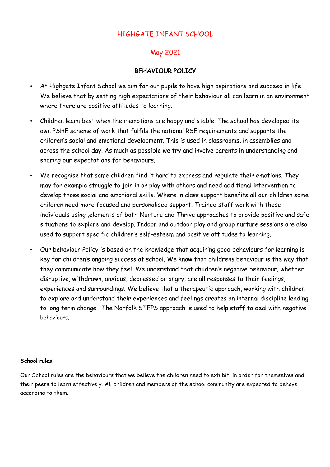# HIGHGATE INFANT SCHOOL

# May 2021

### BEHAVIOUR POLICY

- At Highgate Infant School we aim for our pupils to have high aspirations and succeed in life. We believe that by setting high expectations of their behaviour all can learn in an environment where there are positive attitudes to learning.
- Children learn best when their emotions are happy and stable. The school has developed its own PSHE scheme of work that fulfils the national RSE requirements and supports the children's social and emotional development. This is used in classrooms, in assemblies and across the school day. As much as possible we try and involve parents in understanding and sharing our expectations for behaviours.
- We recognise that some children find it hard to express and regulate their emotions. They may for example struggle to join in or play with others and need additional intervention to develop those social and emotional skills. Where in class support benefits all our children some children need more focused and personalised support. Trained staff work with these individuals using ,elements of both Nurture and Thrive approaches to provide positive and safe situations to explore and develop. Indoor and outdoor play and group nurture sessions are also used to support specific children's self-esteem and positive attitudes to learning.
- Our behaviour Policy is based on the knowledge that acquiring good behaviours for learning is key for children's ongoing success at school. We know that childrens behaviour is the way that they communicate how they feel. We understand that children's negative behaviour, whether disruptive, withdrawn, anxious, depressed or angry, are all responses to their feelings, experiences and surroundings. We believe that a therapeutic approach, working with children to explore and understand their experiences and feelings creates an internal discipline leading to long term change. The Norfolk STEPS approach is used to help staff to deal with negative behaviours.

#### School rules

Our School rules are the behaviours that we believe the children need to exhibit, in order for themselves and their peers to learn effectively. All children and members of the school community are expected to behave according to them.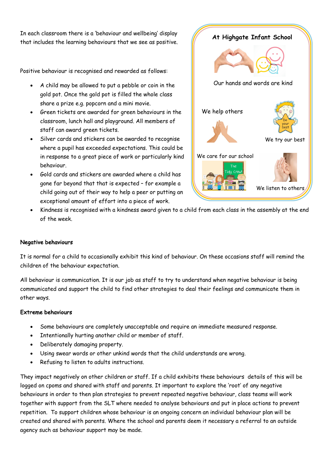In each classroom there is a 'behaviour and wellbeing' display that includes the learning behaviours that we see as positive.

Positive behaviour is recognised and rewarded as follows:

- A child may be allowed to put a pebble or coin in the gold pot. Once the gold pot is filled the whole class share a prize e.g. popcorn and a mini movie.
- Green tickets are awarded for green behaviours in the classroom, lunch hall and playground. All members of staff can award green tickets.
- Silver cards and stickers can be awarded to recognise where a pupil has exceeded expectations. This could be in response to a great piece of work or particularly kind behaviour.
- Gold cards and stickers are awarded where a child has gone far beyond that that is expected – for example a child going out of their way to help a peer or putting an exceptional amount of effort into a piece of work.



• Kindness is recognised with a kindness award given to a child from each class in the assembly at the end of the week.

#### Negative behaviours

It is normal for a child to occasionally exhibit this kind of behaviour. On these occasions staff will remind the children of the behaviour expectation.

All behaviour is communication. It is our job as staff to try to understand when negative behaviour is being communicated and support the child to find other strategies to deal their feelings and communicate them in other ways.

#### Extreme behaviours

- Some behaviours are completely unacceptable and require an immediate measured response.
- Intentionally hurting another child or member of staff.
- Deliberately damaging property.
- Using swear words or other unkind words that the child understands are wrong.
- Refusing to listen to adults instructions.

They impact negatively on other children or staff. If a child exhibits these behaviours details of this will be logged on cpoms and shared with staff and parents. It important to explore the 'root' of any negative behaviours in order to then plan strategies to prevent repeated negative behaviour, class teams will work together with support from the SLT where needed to analyse behaviours and put in place actions to prevent repetition. To support children whose behaviour is an ongoing concern an individual behaviour plan will be created and shared with parents. Where the school and parents deem it necessary a referral to an outside agency such as behaviour support may be made.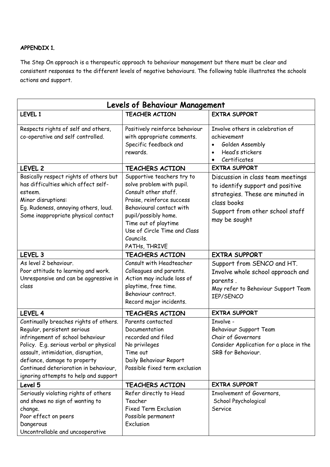### APPENDIX 1.

The Step On approach is a therapeutic approach to behaviour management but there must be clear and consistent responses to the different levels of negative behaviours. The following table illustrates the schools actions and support.

| <b>Levels of Behaviour Management</b>                                                                                                                                                                                                                                                                        |                                                                                                                                                                                                                                                        |                                                                                                                                                                              |
|--------------------------------------------------------------------------------------------------------------------------------------------------------------------------------------------------------------------------------------------------------------------------------------------------------------|--------------------------------------------------------------------------------------------------------------------------------------------------------------------------------------------------------------------------------------------------------|------------------------------------------------------------------------------------------------------------------------------------------------------------------------------|
| LEVEL 1                                                                                                                                                                                                                                                                                                      | <b>TEACHER ACTION</b>                                                                                                                                                                                                                                  | <b>EXTRA SUPPORT</b>                                                                                                                                                         |
| Respects rights of self and others,<br>co-operative and self controlled.                                                                                                                                                                                                                                     | Positively reinforce behaviour<br>with appropriate comments.<br>Specific feedback and<br>rewards.                                                                                                                                                      | Involve others in celebration of<br>achievement<br>Golden Assembly<br>Head's stickers<br>Certificates                                                                        |
| LEVEL <sub>2</sub>                                                                                                                                                                                                                                                                                           | <b>TEACHERS ACTION</b>                                                                                                                                                                                                                                 | <b>EXTRA SUPPORT</b>                                                                                                                                                         |
| Basically respect rights of others but<br>has difficulties which affect self-<br>esteem.<br>Minor disruptions:<br>Eg. Rudeness, annoying others, loud.<br>Some inappropriate physical contact                                                                                                                | Supportive teachers try to<br>solve problem with pupil.<br>Consult other staff.<br>Praise, reinforce success<br>Behavioural contact with<br>pupil/possibly home.<br>Time out of playtime<br>Use of Circle Time and Class<br>Councils.<br>PATHs, THRIVE | Discussion in class team meetings<br>to identify support and positive<br>strategies. These are minuted in<br>class books<br>Support from other school staff<br>may be sought |
| LEVEL <sub>3</sub>                                                                                                                                                                                                                                                                                           | <b>TEACHERS ACTION</b>                                                                                                                                                                                                                                 | <b>EXTRA SUPPORT</b>                                                                                                                                                         |
| As level 2 behaviour.<br>Poor attitude to learning and work.<br>Unresponsive and can be aggressive in<br>class                                                                                                                                                                                               | Consult with Headteacher<br>Colleagues and parents.<br>Action may include loss of<br>playtime, free time.<br>Behaviour contract.<br>Record major incidents.                                                                                            | Support from SENCO and HT.<br>Involve whole school approach and<br>parents.<br>May refer to Behaviour Support Team<br>IEP/SENCO                                              |
| LEVEL 4                                                                                                                                                                                                                                                                                                      | <b>TEACHERS ACTION</b>                                                                                                                                                                                                                                 | <b>EXTRA SUPPORT</b>                                                                                                                                                         |
| Continually breaches rights of others.<br>Regular, persistent serious<br>infringement of school behaviour<br>Policy. E.g. serious verbal or physical<br>assault, intimidation, disruption,<br>defiance, damage to property<br>Continued deterioration in behaviour,<br>ignoring attempts to help and support | Parents contacted<br>Documentation<br>recorded and filed<br>No privileges<br>Time out<br>Daily Behaviour Report<br>Possible fixed term exclusion                                                                                                       | Involve -<br>Behaviour Support Team<br>Chair of Governors<br>Consider Application for a place in the<br>SRB for Behaviour.                                                   |
| Level 5                                                                                                                                                                                                                                                                                                      | <b>TEACHERS ACTION</b>                                                                                                                                                                                                                                 | <b>EXTRA SUPPORT</b>                                                                                                                                                         |
| Seriously violating rights of others<br>and shows no sign of wanting to<br>change.<br>Poor effect on peers<br>Dangerous<br>Uncontrollable and uncooperative                                                                                                                                                  | Refer directly to Head<br>Teacher<br><b>Fixed Term Exclusion</b><br>Possible permanent<br>Exclusion                                                                                                                                                    | Involvement of Governors,<br>School Psychological<br>Service                                                                                                                 |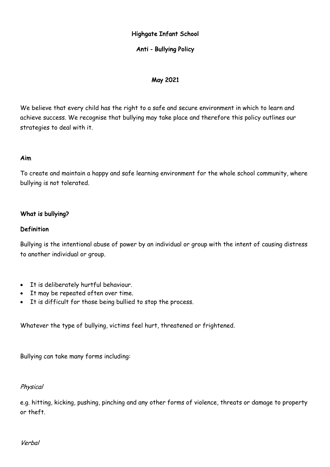# Highgate Infant School

### Anti - Bullying Policy

### May 2021

We believe that every child has the right to a safe and secure environment in which to learn and achieve success. We recognise that bullying may take place and therefore this policy outlines our strategies to deal with it.

#### Aim

To create and maintain a happy and safe learning environment for the whole school community, where bullying is not tolerated.

### What is bullying?

#### Definition

Bullying is the intentional abuse of power by an individual or group with the intent of causing distress to another individual or group.

- It is deliberately hurtful behaviour.
- It may be repeated often over time.
- It is difficult for those being bullied to stop the process.

Whatever the type of bullying, victims feel hurt, threatened or frightened.

Bullying can take many forms including:

#### Physical

e.g. hitting, kicking, pushing, pinching and any other forms of violence, threats or damage to property or theft.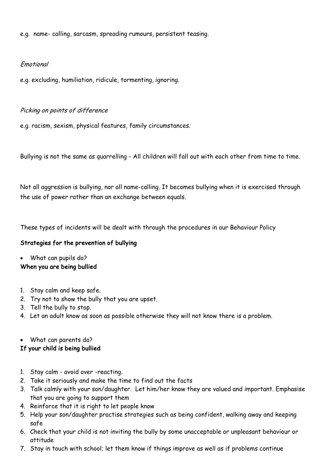e.g. name- calling, sarcasm, spreading rumours, persistent teasing.

### Emotional

e.g. excluding, humiliation, ridicule, tormenting, ignoring.

### Picking on points of difference

e.g. racism, sexism, physical features, family circumstances.

Bullying is not the same as quarrelling - All children will fall out with each other from time to time.

Not all aggression is bullying, nor all name-calling. It becomes bullying when it is exercised through the use of power rather than an exchange between equals.

These types of incidents will be dealt with through the procedures in our Behaviour Policy

# Strategies for the prevention of bullying

• What can pupils do?

# When you are being bullied

- 1. Stay calm and keep safe.
- 2. Try not to show the bully that you are upset.
- 3. Tell the bully to stop.
- 4. Let an adult know as soon as possible otherwise they will not know there is a problem.
- What can parents do?

# If your child is being bullied

- 1. Stay calm avoid over -reacting.
- 2. Take it seriously and make the time to find out the facts
- 3. Talk calmly with your son/daughter. Let him/her know they are valued and important. Emphasise that you are going to support them
- 4. Reinforce that it is right to let people know
- 5. Help your son/daughter practise strategies such as being confident, walking away and keeping safe
- 6. Check that your child is not inviting the bully by some unacceptable or unpleasant behaviour or attitude
- 7. Stay in touch with school; let them know if things improve as well as if problems continue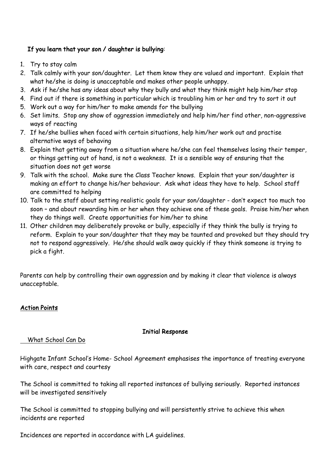# If you learn that your son / daughter is bullying:

- 1. Try to stay calm
- 2. Talk calmly with your son/daughter. Let them know they are valued and important. Explain that what he/she is doing is unacceptable and makes other people unhappy.
- 3. Ask if he/she has any ideas about why they bully and what they think might help him/her stop
- 4. Find out if there is something in particular which is troubling him or her and try to sort it out
- 5. Work out a way for him/her to make amends for the bullying
- 6. Set limits. Stop any show of aggression immediately and help him/her find other, non-aggressive ways of reacting
- 7. If he/she bullies when faced with certain situations, help him/her work out and practise alternative ways of behaving
- 8. Explain that getting away from a situation where he/she can feel themselves losing their temper, or things getting out of hand, is not a weakness. It is a sensible way of ensuring that the situation does not get worse
- 9. Talk with the school. Make sure the Class Teacher knows. Explain that your son/daughter is making an effort to change his/her behaviour. Ask what ideas they have to help. School staff are committed to helping
- 10. Talk to the staff about setting realistic goals for your son/daughter don't expect too much too soon – and about rewarding him or her when they achieve one of these goals. Praise him/her when they do things well. Create opportunities for him/her to shine
- 11. Other children may deliberately provoke or bully, especially if they think the bully is trying to reform. Explain to your son/daughter that they may be taunted and provoked but they should try not to respond aggressively. He/she should walk away quickly if they think someone is trying to pick a fight.

Parents can help by controlling their own aggression and by making it clear that violence is always unacceptable.

# Action Points

# Initial Response

# What School Can Do

Highgate Infant School's Home- School Agreement emphasises the importance of treating everyone with care, respect and courtesy

The School is committed to taking all reported instances of bullying seriously. Reported instances will be investigated sensitively

The School is committed to stopping bullying and will persistently strive to achieve this when incidents are reported

Incidences are reported in accordance with LA guidelines.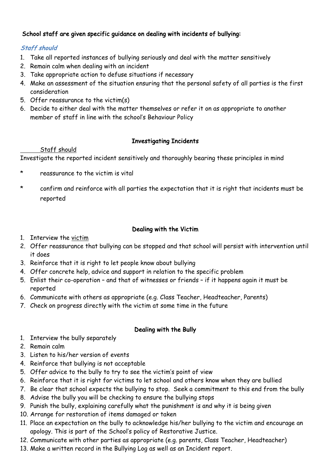# School staff are given specific guidance on dealing with incidents of bullying:

# Staff should

- 1. Take all reported instances of bullying seriously and deal with the matter sensitively
- 2. Remain calm when dealing with an incident
- 3. Take appropriate action to defuse situations if necessary
- 4. Make an assessment of the situation ensuring that the personal safety of all parties is the first consideration
- 5. Offer reassurance to the victim(s)
- 6. Decide to either deal with the matter themselves or refer it on as appropriate to another member of staff in line with the school's Behaviour Policy

# Investigating Incidents

# Staff should

Investigate the reported incident sensitively and thoroughly bearing these principles in mind

- reassurance to the victim is vital
- \* confirm and reinforce with all parties the expectation that it is right that incidents must be reported

# Dealing with the Victim

- 1. Interview the victim
- 2. Offer reassurance that bullying can be stopped and that school will persist with intervention until it does
- 3. Reinforce that it is right to let people know about bullying
- 4. Offer concrete help, advice and support in relation to the specific problem
- 5. Enlist their co-operation and that of witnesses or friends if it happens again it must be reported
- 6. Communicate with others as appropriate (e.g. Class Teacher, Headteacher, Parents)
- 7. Check on progress directly with the victim at some time in the future

# Dealing with the Bully

- 1. Interview the bully separately
- 2. Remain calm
- 3. Listen to his/her version of events
- 4. Reinforce that bullying is not acceptable
- 5. Offer advice to the bully to try to see the victim's point of view
- 6. Reinforce that it is right for victims to let school and others know when they are bullied
- 7. Be clear that school expects the bullying to stop. Seek a commitment to this end from the bully
- 8. Advise the bully you will be checking to ensure the bullying stops
- 9. Punish the bully, explaining carefully what the punishment is and why it is being given
- 10. Arrange for restoration of items damaged or taken
- 11. Place an expectation on the bully to acknowledge his/her bullying to the victim and encourage an apology. This is part of the School's policy of Restorative Justice.
- 12. Communicate with other parties as appropriate (e.g. parents, Class Teacher, Headteacher)
- 13. Make a written record in the Bullying Log as well as an Incident report.